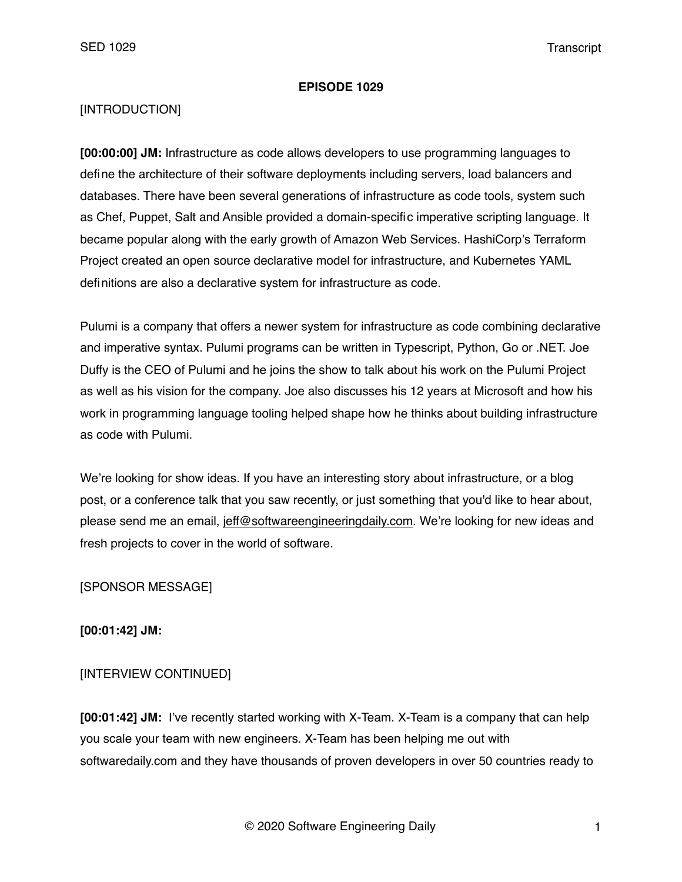#### **EPISODE 1029**

#### [INTRODUCTION]

**[00:00:00] JM:** Infrastructure as code allows developers to use programming languages to define the architecture of their software deployments including servers, load balancers and databases. There have been several generations of infrastructure as code tools, system such as Chef, Puppet, Salt and Ansible provided a domain-specific imperative scripting language. It became popular along with the early growth of Amazon Web Services. HashiCorp's Terraform Project created an open source declarative model for infrastructure, and Kubernetes YAML definitions are also a declarative system for infrastructure as code.

Pulumi is a company that offers a newer system for infrastructure as code combining declarative and imperative syntax. Pulumi programs can be written in Typescript, Python, Go or .NET. Joe Duffy is the CEO of Pulumi and he joins the show to talk about his work on the Pulumi Project as well as his vision for the company. Joe also discusses his 12 years at Microsoft and how his work in programming language tooling helped shape how he thinks about building infrastructure as code with Pulumi.

We're looking for show ideas. If you have an interesting story about infrastructure, or a blog post, or a conference talk that you saw recently, or just something that you'd like to hear about, please send me an email, [jeff@softwareengineeringdaily.com.](mailto:jeff@softwareengineeringdaily.com) We're looking for new ideas and fresh projects to cover in the world of software.

[SPONSOR MESSAGE]

**[00:01:42] JM:**

### [INTERVIEW CONTINUED]

**[00:01:42] JM:** I've recently started working with X-Team. X-Team is a company that can help you scale your team with new engineers. X-Team has been helping me out with softwaredaily.com and they have thousands of proven developers in over 50 countries ready to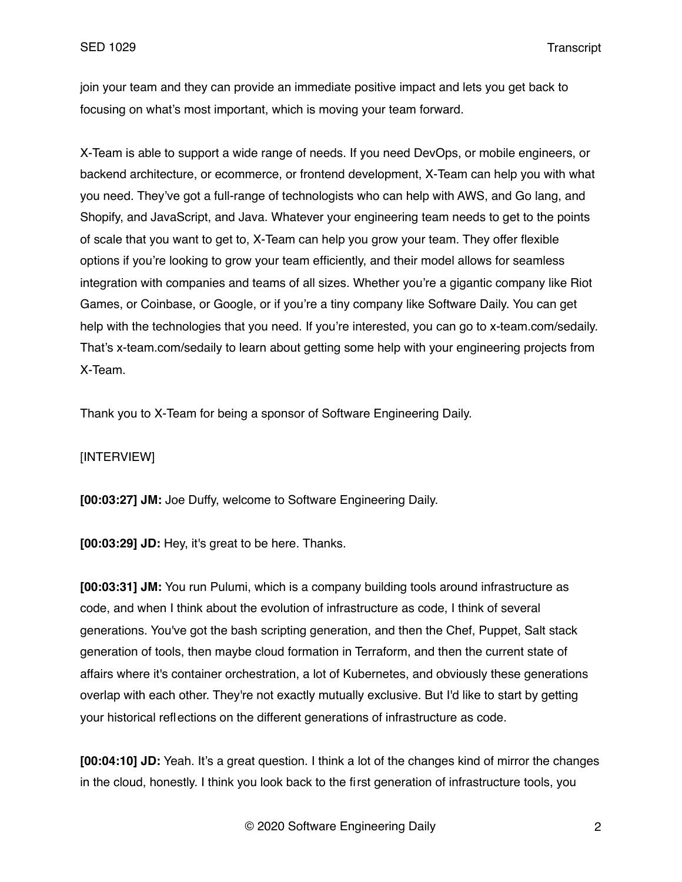join your team and they can provide an immediate positive impact and lets you get back to focusing on what's most important, which is moving your team forward.

X-Team is able to support a wide range of needs. If you need DevOps, or mobile engineers, or backend architecture, or ecommerce, or frontend development, X-Team can help you with what you need. They've got a full-range of technologists who can help with AWS, and Go lang, and Shopify, and JavaScript, and Java. Whatever your engineering team needs to get to the points of scale that you want to get to, X-Team can help you grow your team. They offer flexible options if you're looking to grow your team efficiently, and their model allows for seamless integration with companies and teams of all sizes. Whether you're a gigantic company like Riot Games, or Coinbase, or Google, or if you're a tiny company like Software Daily. You can get help with the technologies that you need. If you're interested, you can go to x-team.com/sedaily. That's x-team.com/sedaily to learn about getting some help with your engineering projects from X-Team.

Thank you to X-Team for being a sponsor of Software Engineering Daily.

#### [INTERVIEW]

**[00:03:27] JM:** Joe Duffy, welcome to Software Engineering Daily.

**[00:03:29] JD:** Hey, it's great to be here. Thanks.

**[00:03:31] JM:** You run Pulumi, which is a company building tools around infrastructure as code, and when I think about the evolution of infrastructure as code, I think of several generations. You've got the bash scripting generation, and then the Chef, Puppet, Salt stack generation of tools, then maybe cloud formation in Terraform, and then the current state of affairs where it's container orchestration, a lot of Kubernetes, and obviously these generations overlap with each other. They're not exactly mutually exclusive. But I'd like to start by getting your historical reflections on the different generations of infrastructure as code.

**[00:04:10] JD:** Yeah. It's a great question. I think a lot of the changes kind of mirror the changes in the cloud, honestly. I think you look back to the first generation of infrastructure tools, you

© 2020 Software Engineering Daily 2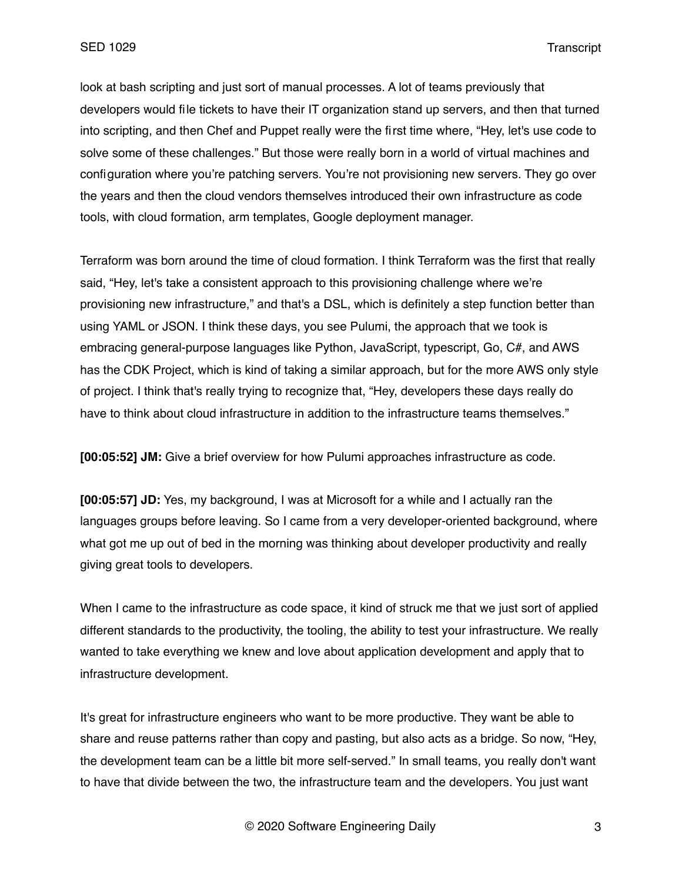look at bash scripting and just sort of manual processes. A lot of teams previously that developers would file tickets to have their IT organization stand up servers, and then that turned into scripting, and then Chef and Puppet really were the first time where, "Hey, let's use code to solve some of these challenges." But those were really born in a world of virtual machines and configuration where you're patching servers. You're not provisioning new servers. They go over the years and then the cloud vendors themselves introduced their own infrastructure as code tools, with cloud formation, arm templates, Google deployment manager.

Terraform was born around the time of cloud formation. I think Terraform was the first that really said, "Hey, let's take a consistent approach to this provisioning challenge where we're provisioning new infrastructure," and that's a DSL, which is definitely a step function better than using YAML or JSON. I think these days, you see Pulumi, the approach that we took is embracing general-purpose languages like Python, JavaScript, typescript, Go, C#, and AWS has the CDK Project, which is kind of taking a similar approach, but for the more AWS only style of project. I think that's really trying to recognize that, "Hey, developers these days really do have to think about cloud infrastructure in addition to the infrastructure teams themselves."

**[00:05:52] JM:** Give a brief overview for how Pulumi approaches infrastructure as code.

**[00:05:57] JD:** Yes, my background, I was at Microsoft for a while and I actually ran the languages groups before leaving. So I came from a very developer-oriented background, where what got me up out of bed in the morning was thinking about developer productivity and really giving great tools to developers.

When I came to the infrastructure as code space, it kind of struck me that we just sort of applied different standards to the productivity, the tooling, the ability to test your infrastructure. We really wanted to take everything we knew and love about application development and apply that to infrastructure development.

It's great for infrastructure engineers who want to be more productive. They want be able to share and reuse patterns rather than copy and pasting, but also acts as a bridge. So now, "Hey, the development team can be a little bit more self-served." In small teams, you really don't want to have that divide between the two, the infrastructure team and the developers. You just want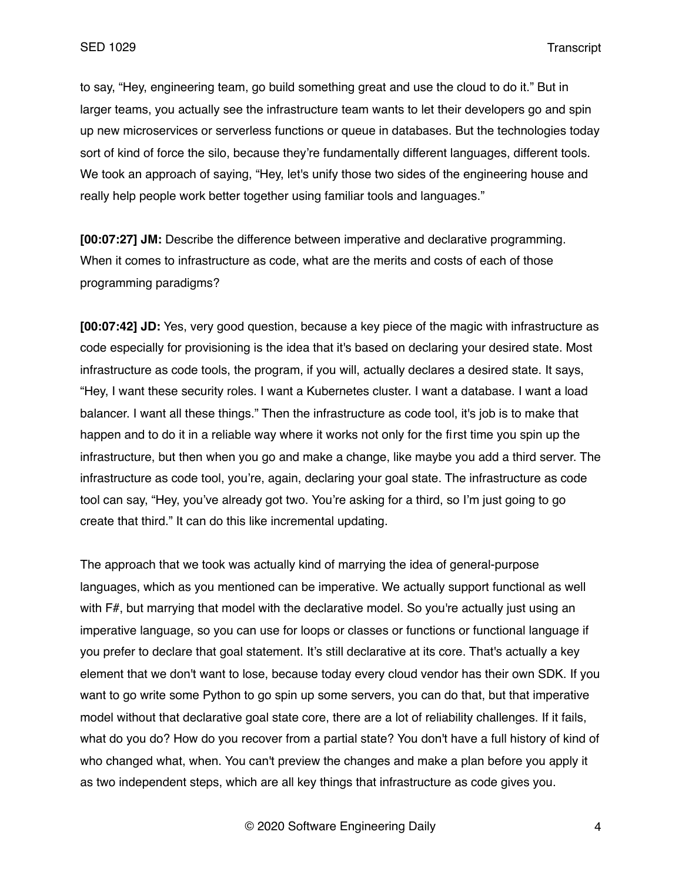to say, "Hey, engineering team, go build something great and use the cloud to do it." But in larger teams, you actually see the infrastructure team wants to let their developers go and spin up new microservices or serverless functions or queue in databases. But the technologies today sort of kind of force the silo, because they're fundamentally different languages, different tools. We took an approach of saying, "Hey, let's unify those two sides of the engineering house and really help people work better together using familiar tools and languages."

**[00:07:27] JM:** Describe the difference between imperative and declarative programming. When it comes to infrastructure as code, what are the merits and costs of each of those programming paradigms?

**[00:07:42] JD:** Yes, very good question, because a key piece of the magic with infrastructure as code especially for provisioning is the idea that it's based on declaring your desired state. Most infrastructure as code tools, the program, if you will, actually declares a desired state. It says, "Hey, I want these security roles. I want a Kubernetes cluster. I want a database. I want a load balancer. I want all these things." Then the infrastructure as code tool, it's job is to make that happen and to do it in a reliable way where it works not only for the first time you spin up the infrastructure, but then when you go and make a change, like maybe you add a third server. The infrastructure as code tool, you're, again, declaring your goal state. The infrastructure as code tool can say, "Hey, you've already got two. You're asking for a third, so I'm just going to go create that third." It can do this like incremental updating.

The approach that we took was actually kind of marrying the idea of general-purpose languages, which as you mentioned can be imperative. We actually support functional as well with F#, but marrying that model with the declarative model. So you're actually just using an imperative language, so you can use for loops or classes or functions or functional language if you prefer to declare that goal statement. It's still declarative at its core. That's actually a key element that we don't want to lose, because today every cloud vendor has their own SDK. If you want to go write some Python to go spin up some servers, you can do that, but that imperative model without that declarative goal state core, there are a lot of reliability challenges. If it fails, what do you do? How do you recover from a partial state? You don't have a full history of kind of who changed what, when. You can't preview the changes and make a plan before you apply it as two independent steps, which are all key things that infrastructure as code gives you.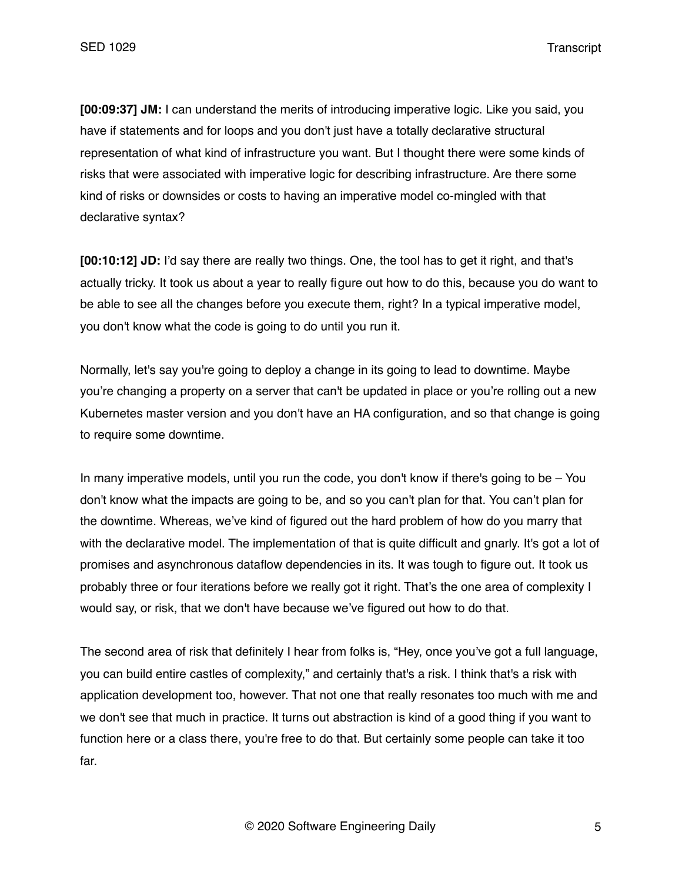**[00:09:37] JM:** I can understand the merits of introducing imperative logic. Like you said, you have if statements and for loops and you don't just have a totally declarative structural representation of what kind of infrastructure you want. But I thought there were some kinds of risks that were associated with imperative logic for describing infrastructure. Are there some kind of risks or downsides or costs to having an imperative model co-mingled with that declarative syntax?

**[00:10:12] JD:** I'd say there are really two things. One, the tool has to get it right, and that's actually tricky. It took us about a year to really figure out how to do this, because you do want to be able to see all the changes before you execute them, right? In a typical imperative model, you don't know what the code is going to do until you run it.

Normally, let's say you're going to deploy a change in its going to lead to downtime. Maybe you're changing a property on a server that can't be updated in place or you're rolling out a new Kubernetes master version and you don't have an HA configuration, and so that change is going to require some downtime.

In many imperative models, until you run the code, you don't know if there's going to be – You don't know what the impacts are going to be, and so you can't plan for that. You can't plan for the downtime. Whereas, we've kind of figured out the hard problem of how do you marry that with the declarative model. The implementation of that is quite difficult and gnarly. It's got a lot of promises and asynchronous dataflow dependencies in its. It was tough to figure out. It took us probably three or four iterations before we really got it right. That's the one area of complexity I would say, or risk, that we don't have because we've figured out how to do that.

The second area of risk that definitely I hear from folks is, "Hey, once you've got a full language, you can build entire castles of complexity," and certainly that's a risk. I think that's a risk with application development too, however. That not one that really resonates too much with me and we don't see that much in practice. It turns out abstraction is kind of a good thing if you want to function here or a class there, you're free to do that. But certainly some people can take it too far.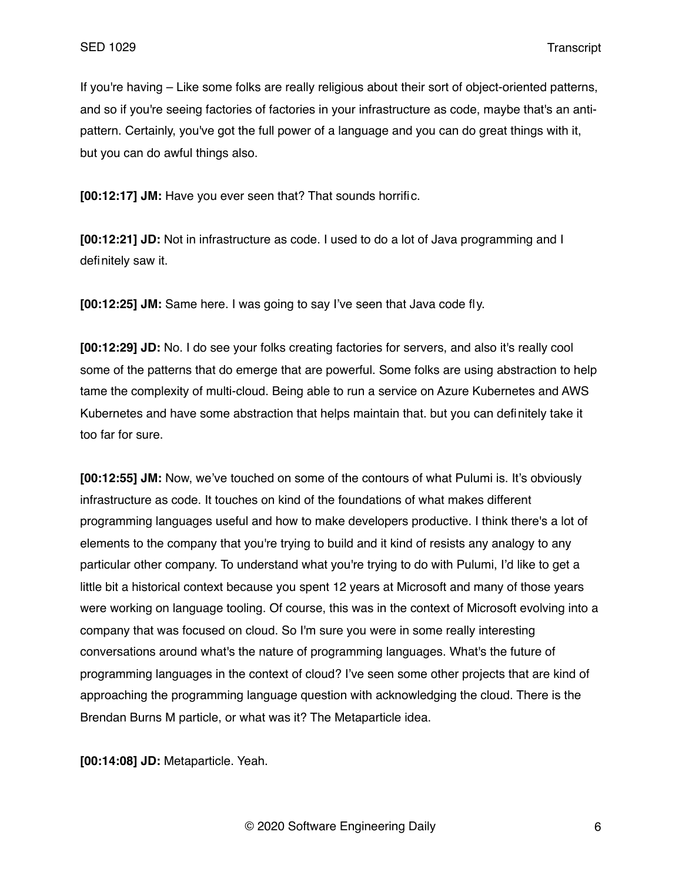If you're having – Like some folks are really religious about their sort of object-oriented patterns, and so if you're seeing factories of factories in your infrastructure as code, maybe that's an antipattern. Certainly, you've got the full power of a language and you can do great things with it, but you can do awful things also.

**[00:12:17] JM:** Have you ever seen that? That sounds horrific.

**[00:12:21] JD:** Not in infrastructure as code. I used to do a lot of Java programming and I definitely saw it.

**[00:12:25] JM:** Same here. I was going to say I've seen that Java code fly.

**[00:12:29] JD:** No. I do see your folks creating factories for servers, and also it's really cool some of the patterns that do emerge that are powerful. Some folks are using abstraction to help tame the complexity of multi-cloud. Being able to run a service on Azure Kubernetes and AWS Kubernetes and have some abstraction that helps maintain that. but you can definitely take it too far for sure.

**[00:12:55] JM:** Now, we've touched on some of the contours of what Pulumi is. It's obviously infrastructure as code. It touches on kind of the foundations of what makes different programming languages useful and how to make developers productive. I think there's a lot of elements to the company that you're trying to build and it kind of resists any analogy to any particular other company. To understand what you're trying to do with Pulumi, I'd like to get a little bit a historical context because you spent 12 years at Microsoft and many of those years were working on language tooling. Of course, this was in the context of Microsoft evolving into a company that was focused on cloud. So I'm sure you were in some really interesting conversations around what's the nature of programming languages. What's the future of programming languages in the context of cloud? I've seen some other projects that are kind of approaching the programming language question with acknowledging the cloud. There is the Brendan Burns M particle, or what was it? The Metaparticle idea.

**[00:14:08] JD:** Metaparticle. Yeah.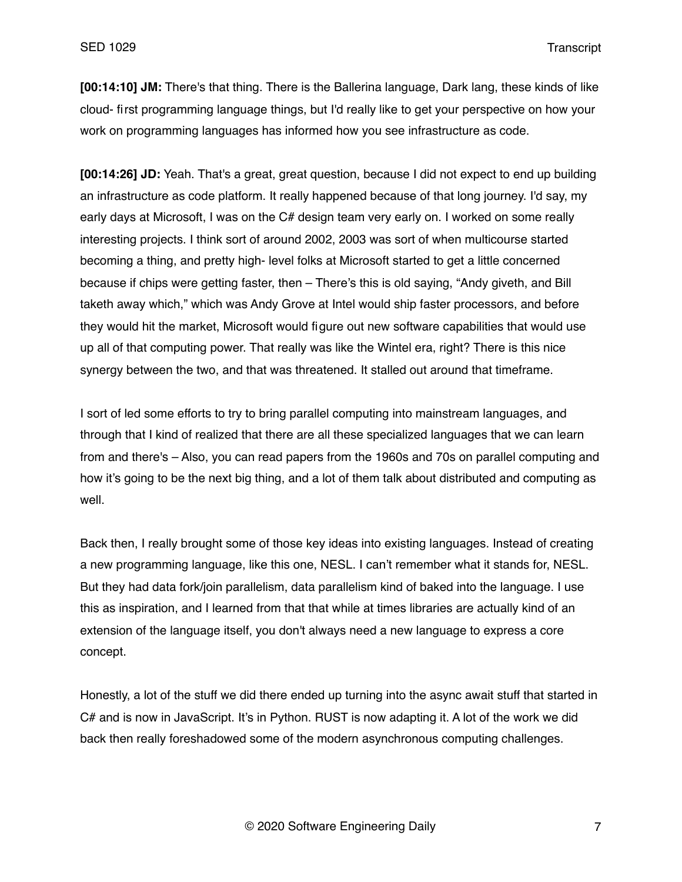**[00:14:10] JM:** There's that thing. There is the Ballerina language, Dark lang, these kinds of like cloud- first programming language things, but I'd really like to get your perspective on how your work on programming languages has informed how you see infrastructure as code.

**[00:14:26] JD:** Yeah. That's a great, great question, because I did not expect to end up building an infrastructure as code platform. It really happened because of that long journey. I'd say, my early days at Microsoft, I was on the C# design team very early on. I worked on some really interesting projects. I think sort of around 2002, 2003 was sort of when multicourse started becoming a thing, and pretty high- level folks at Microsoft started to get a little concerned because if chips were getting faster, then – There's this is old saying, "Andy giveth, and Bill taketh away which," which was Andy Grove at Intel would ship faster processors, and before they would hit the market, Microsoft would figure out new software capabilities that would use up all of that computing power. That really was like the Wintel era, right? There is this nice synergy between the two, and that was threatened. It stalled out around that timeframe.

I sort of led some efforts to try to bring parallel computing into mainstream languages, and through that I kind of realized that there are all these specialized languages that we can learn from and there's – Also, you can read papers from the 1960s and 70s on parallel computing and how it's going to be the next big thing, and a lot of them talk about distributed and computing as well.

Back then, I really brought some of those key ideas into existing languages. Instead of creating a new programming language, like this one, NESL. I can't remember what it stands for, NESL. But they had data fork/join parallelism, data parallelism kind of baked into the language. I use this as inspiration, and I learned from that that while at times libraries are actually kind of an extension of the language itself, you don't always need a new language to express a core concept.

Honestly, a lot of the stuff we did there ended up turning into the async await stuff that started in C# and is now in JavaScript. It's in Python. RUST is now adapting it. A lot of the work we did back then really foreshadowed some of the modern asynchronous computing challenges.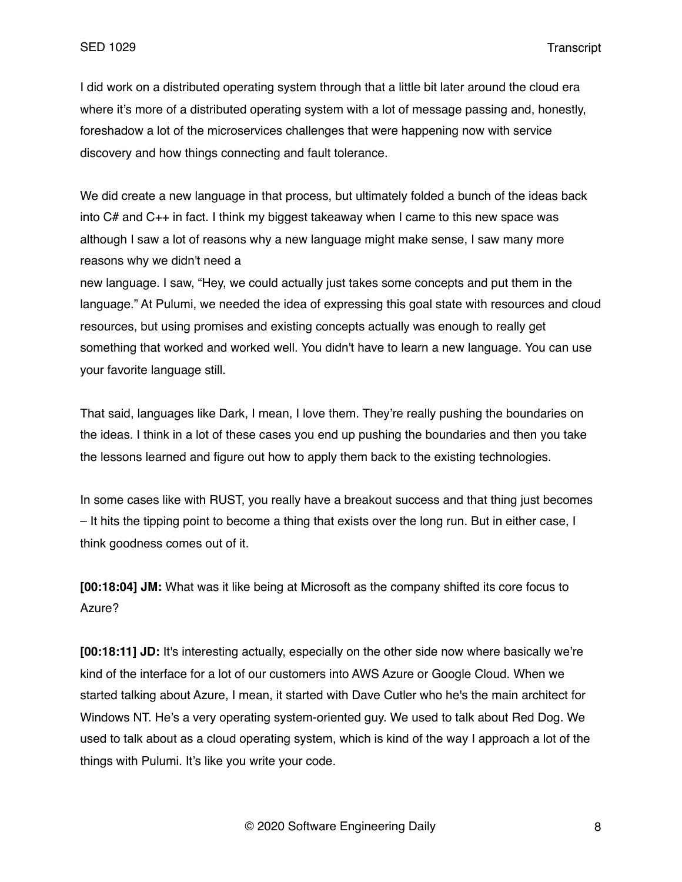I did work on a distributed operating system through that a little bit later around the cloud era where it's more of a distributed operating system with a lot of message passing and, honestly, foreshadow a lot of the microservices challenges that were happening now with service discovery and how things connecting and fault tolerance.

We did create a new language in that process, but ultimately folded a bunch of the ideas back into C# and C++ in fact. I think my biggest takeaway when I came to this new space was although I saw a lot of reasons why a new language might make sense, I saw many more reasons why we didn't need a

new language. I saw, "Hey, we could actually just takes some concepts and put them in the language." At Pulumi, we needed the idea of expressing this goal state with resources and cloud resources, but using promises and existing concepts actually was enough to really get something that worked and worked well. You didn't have to learn a new language. You can use your favorite language still.

That said, languages like Dark, I mean, I love them. They're really pushing the boundaries on the ideas. I think in a lot of these cases you end up pushing the boundaries and then you take the lessons learned and figure out how to apply them back to the existing technologies.

In some cases like with RUST, you really have a breakout success and that thing just becomes – It hits the tipping point to become a thing that exists over the long run. But in either case, I think goodness comes out of it.

**[00:18:04] JM:** What was it like being at Microsoft as the company shifted its core focus to Azure?

**[00:18:11] JD:** It's interesting actually, especially on the other side now where basically we're kind of the interface for a lot of our customers into AWS Azure or Google Cloud. When we started talking about Azure, I mean, it started with Dave Cutler who he's the main architect for Windows NT. He's a very operating system-oriented guy. We used to talk about Red Dog. We used to talk about as a cloud operating system, which is kind of the way I approach a lot of the things with Pulumi. It's like you write your code.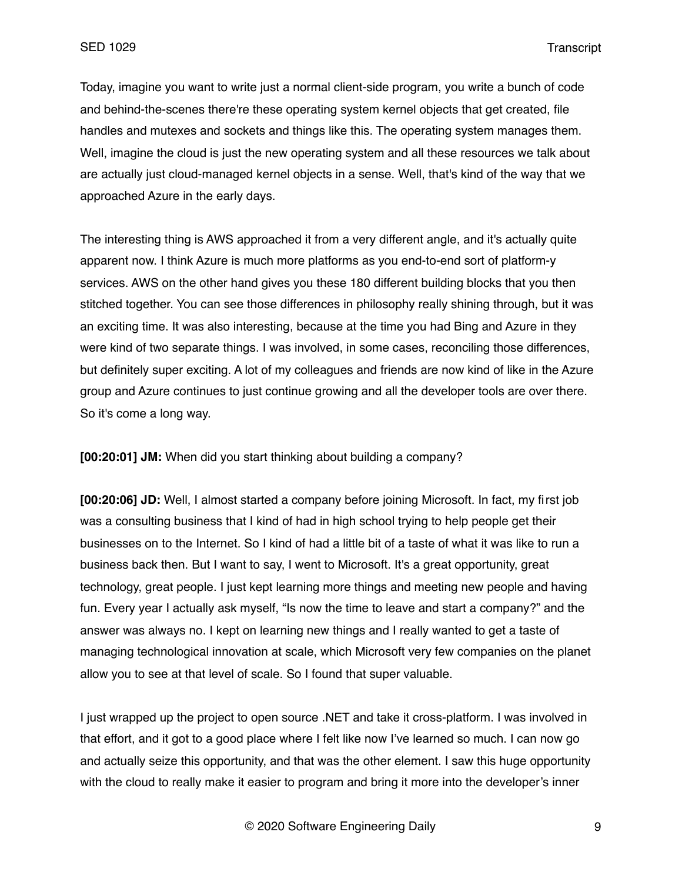Today, imagine you want to write just a normal client-side program, you write a bunch of code and behind-the-scenes there're these operating system kernel objects that get created, file handles and mutexes and sockets and things like this. The operating system manages them. Well, imagine the cloud is just the new operating system and all these resources we talk about are actually just cloud-managed kernel objects in a sense. Well, that's kind of the way that we approached Azure in the early days.

The interesting thing is AWS approached it from a very different angle, and it's actually quite apparent now. I think Azure is much more platforms as you end-to-end sort of platform-y services. AWS on the other hand gives you these 180 different building blocks that you then stitched together. You can see those differences in philosophy really shining through, but it was an exciting time. It was also interesting, because at the time you had Bing and Azure in they were kind of two separate things. I was involved, in some cases, reconciling those differences, but definitely super exciting. A lot of my colleagues and friends are now kind of like in the Azure group and Azure continues to just continue growing and all the developer tools are over there. So it's come a long way.

**[00:20:01] JM:** When did you start thinking about building a company?

**[00:20:06] JD:** Well, I almost started a company before joining Microsoft. In fact, my first job was a consulting business that I kind of had in high school trying to help people get their businesses on to the Internet. So I kind of had a little bit of a taste of what it was like to run a business back then. But I want to say, I went to Microsoft. It's a great opportunity, great technology, great people. I just kept learning more things and meeting new people and having fun. Every year I actually ask myself, "Is now the time to leave and start a company?" and the answer was always no. I kept on learning new things and I really wanted to get a taste of managing technological innovation at scale, which Microsoft very few companies on the planet allow you to see at that level of scale. So I found that super valuable.

I just wrapped up the project to open source .NET and take it cross-platform. I was involved in that effort, and it got to a good place where I felt like now I've learned so much. I can now go and actually seize this opportunity, and that was the other element. I saw this huge opportunity with the cloud to really make it easier to program and bring it more into the developer's inner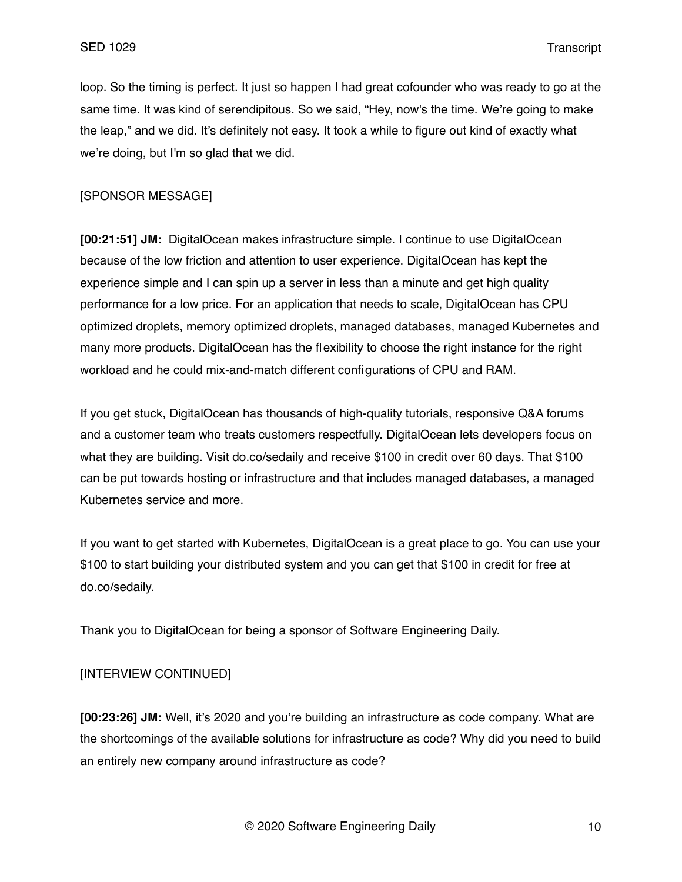loop. So the timing is perfect. It just so happen I had great cofounder who was ready to go at the same time. It was kind of serendipitous. So we said, "Hey, now's the time. We're going to make the leap," and we did. It's definitely not easy. It took a while to figure out kind of exactly what we're doing, but I'm so glad that we did.

### [SPONSOR MESSAGE]

**[00:21:51] JM:** DigitalOcean makes infrastructure simple. I continue to use DigitalOcean because of the low friction and attention to user experience. DigitalOcean has kept the experience simple and I can spin up a server in less than a minute and get high quality performance for a low price. For an application that needs to scale, DigitalOcean has CPU optimized droplets, memory optimized droplets, managed databases, managed Kubernetes and many more products. DigitalOcean has the flexibility to choose the right instance for the right workload and he could mix-and-match different configurations of CPU and RAM.

If you get stuck, DigitalOcean has thousands of high-quality tutorials, responsive Q&A forums and a customer team who treats customers respectfully. DigitalOcean lets developers focus on what they are building. Visit do.co/sedaily and receive \$100 in credit over 60 days. That \$100 can be put towards hosting or infrastructure and that includes managed databases, a managed Kubernetes service and more.

If you want to get started with Kubernetes, DigitalOcean is a great place to go. You can use your \$100 to start building your distributed system and you can get that \$100 in credit for free at do.co/sedaily.

Thank you to DigitalOcean for being a sponsor of Software Engineering Daily.

### [INTERVIEW CONTINUED]

**[00:23:26] JM:** Well, it's 2020 and you're building an infrastructure as code company. What are the shortcomings of the available solutions for infrastructure as code? Why did you need to build an entirely new company around infrastructure as code?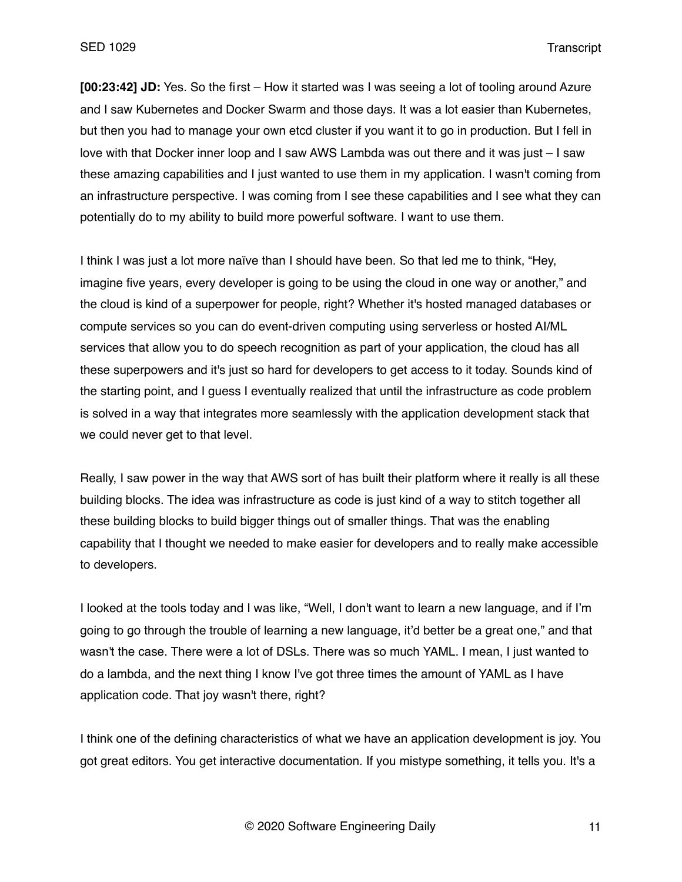**[00:23:42] JD:** Yes. So the first – How it started was I was seeing a lot of tooling around Azure and I saw Kubernetes and Docker Swarm and those days. It was a lot easier than Kubernetes, but then you had to manage your own etcd cluster if you want it to go in production. But I fell in love with that Docker inner loop and I saw AWS Lambda was out there and it was just – I saw these amazing capabilities and I just wanted to use them in my application. I wasn't coming from an infrastructure perspective. I was coming from I see these capabilities and I see what they can potentially do to my ability to build more powerful software. I want to use them.

I think I was just a lot more naïve than I should have been. So that led me to think, "Hey, imagine five years, every developer is going to be using the cloud in one way or another," and the cloud is kind of a superpower for people, right? Whether it's hosted managed databases or compute services so you can do event-driven computing using serverless or hosted AI/ML services that allow you to do speech recognition as part of your application, the cloud has all these superpowers and it's just so hard for developers to get access to it today. Sounds kind of the starting point, and I guess I eventually realized that until the infrastructure as code problem is solved in a way that integrates more seamlessly with the application development stack that we could never get to that level.

Really, I saw power in the way that AWS sort of has built their platform where it really is all these building blocks. The idea was infrastructure as code is just kind of a way to stitch together all these building blocks to build bigger things out of smaller things. That was the enabling capability that I thought we needed to make easier for developers and to really make accessible to developers.

I looked at the tools today and I was like, "Well, I don't want to learn a new language, and if I'm going to go through the trouble of learning a new language, it'd better be a great one," and that wasn't the case. There were a lot of DSLs. There was so much YAML. I mean, I just wanted to do a lambda, and the next thing I know I've got three times the amount of YAML as I have application code. That joy wasn't there, right?

I think one of the defining characteristics of what we have an application development is joy. You got great editors. You get interactive documentation. If you mistype something, it tells you. It's a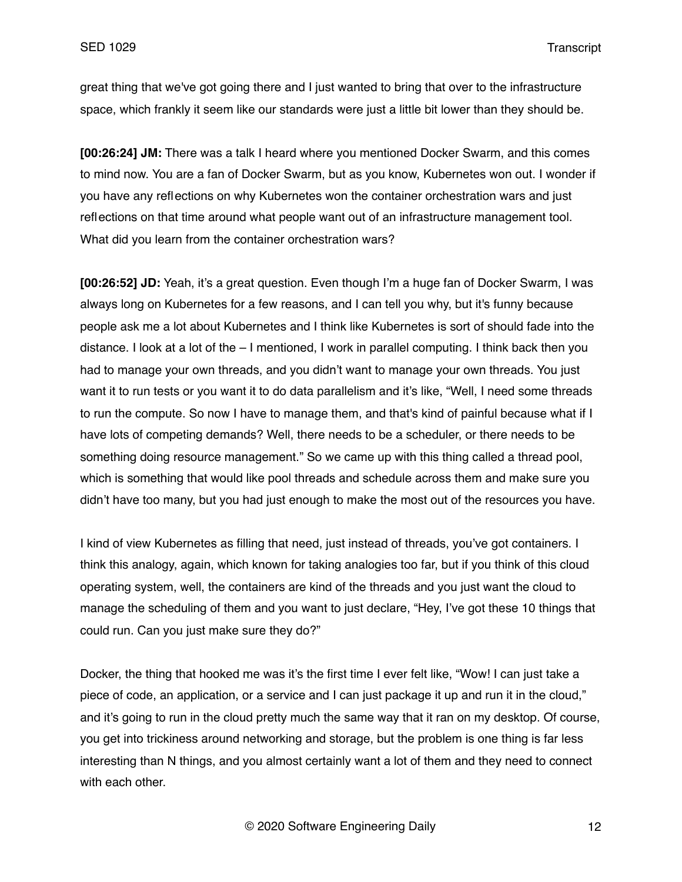great thing that we've got going there and I just wanted to bring that over to the infrastructure space, which frankly it seem like our standards were just a little bit lower than they should be.

**[00:26:24] JM:** There was a talk I heard where you mentioned Docker Swarm, and this comes to mind now. You are a fan of Docker Swarm, but as you know, Kubernetes won out. I wonder if you have any reflections on why Kubernetes won the container orchestration wars and just reflections on that time around what people want out of an infrastructure management tool. What did you learn from the container orchestration wars?

**[00:26:52] JD:** Yeah, it's a great question. Even though I'm a huge fan of Docker Swarm, I was always long on Kubernetes for a few reasons, and I can tell you why, but it's funny because people ask me a lot about Kubernetes and I think like Kubernetes is sort of should fade into the distance. I look at a lot of the – I mentioned, I work in parallel computing. I think back then you had to manage your own threads, and you didn't want to manage your own threads. You just want it to run tests or you want it to do data parallelism and it's like, "Well, I need some threads to run the compute. So now I have to manage them, and that's kind of painful because what if I have lots of competing demands? Well, there needs to be a scheduler, or there needs to be something doing resource management." So we came up with this thing called a thread pool, which is something that would like pool threads and schedule across them and make sure you didn't have too many, but you had just enough to make the most out of the resources you have.

I kind of view Kubernetes as filling that need, just instead of threads, you've got containers. I think this analogy, again, which known for taking analogies too far, but if you think of this cloud operating system, well, the containers are kind of the threads and you just want the cloud to manage the scheduling of them and you want to just declare, "Hey, I've got these 10 things that could run. Can you just make sure they do?"

Docker, the thing that hooked me was it's the first time I ever felt like, "Wow! I can just take a piece of code, an application, or a service and I can just package it up and run it in the cloud," and it's going to run in the cloud pretty much the same way that it ran on my desktop. Of course, you get into trickiness around networking and storage, but the problem is one thing is far less interesting than N things, and you almost certainly want a lot of them and they need to connect with each other.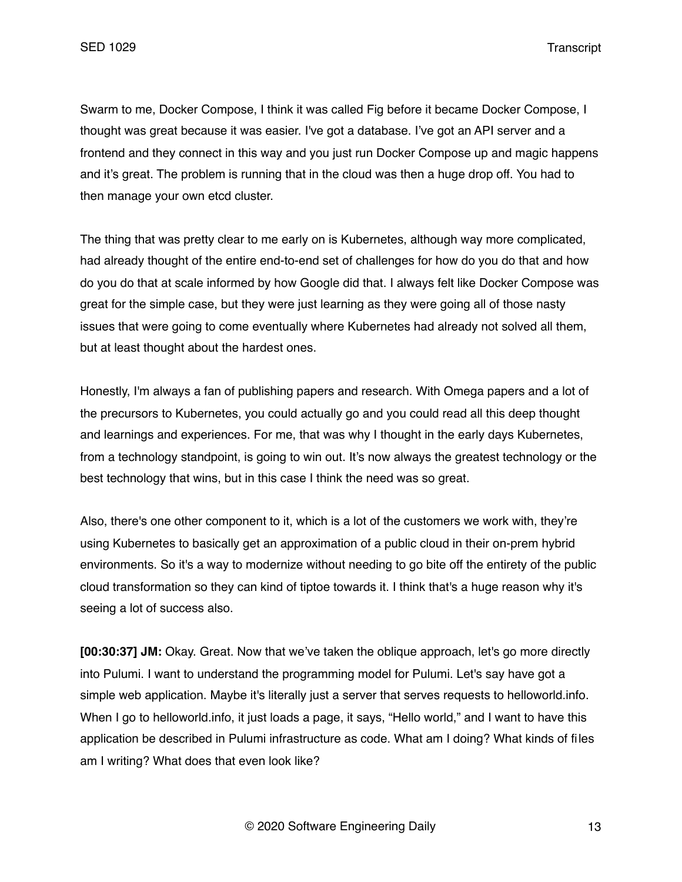Swarm to me, Docker Compose, I think it was called Fig before it became Docker Compose, I thought was great because it was easier. I've got a database. I've got an API server and a frontend and they connect in this way and you just run Docker Compose up and magic happens and it's great. The problem is running that in the cloud was then a huge drop off. You had to then manage your own etcd cluster.

The thing that was pretty clear to me early on is Kubernetes, although way more complicated, had already thought of the entire end-to-end set of challenges for how do you do that and how do you do that at scale informed by how Google did that. I always felt like Docker Compose was great for the simple case, but they were just learning as they were going all of those nasty issues that were going to come eventually where Kubernetes had already not solved all them, but at least thought about the hardest ones.

Honestly, I'm always a fan of publishing papers and research. With Omega papers and a lot of the precursors to Kubernetes, you could actually go and you could read all this deep thought and learnings and experiences. For me, that was why I thought in the early days Kubernetes, from a technology standpoint, is going to win out. It's now always the greatest technology or the best technology that wins, but in this case I think the need was so great.

Also, there's one other component to it, which is a lot of the customers we work with, they're using Kubernetes to basically get an approximation of a public cloud in their on-prem hybrid environments. So it's a way to modernize without needing to go bite off the entirety of the public cloud transformation so they can kind of tiptoe towards it. I think that's a huge reason why it's seeing a lot of success also.

**[00:30:37] JM:** Okay. Great. Now that we've taken the oblique approach, let's go more directly into Pulumi. I want to understand the programming model for Pulumi. Let's say have got a simple web application. Maybe it's literally just a server that serves requests to helloworld.info. When I go to helloworld.info, it just loads a page, it says, "Hello world," and I want to have this application be described in Pulumi infrastructure as code. What am I doing? What kinds of files am I writing? What does that even look like?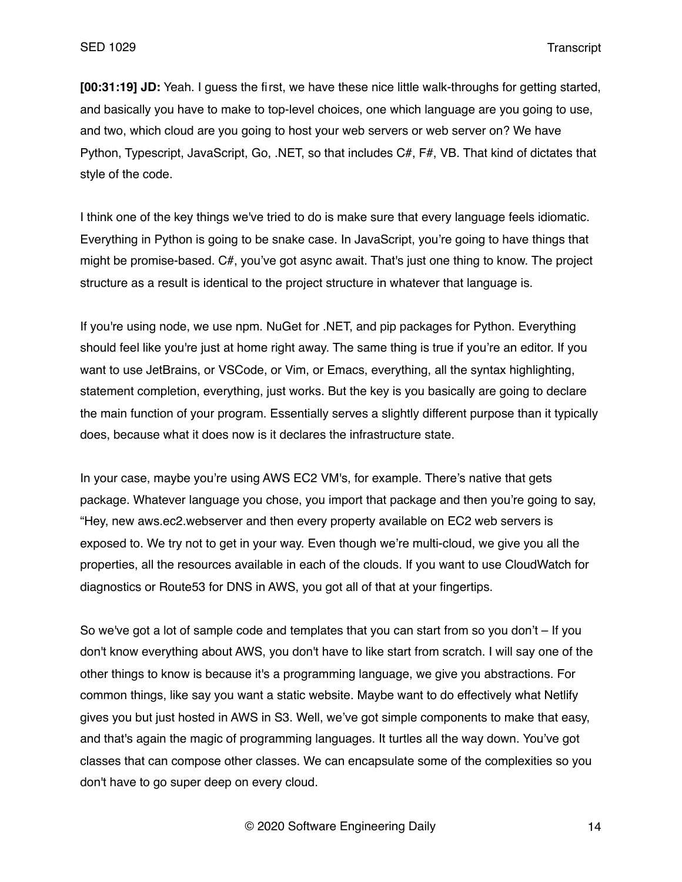**[00:31:19] JD:** Yeah. I guess the first, we have these nice little walk-throughs for getting started, and basically you have to make to top-level choices, one which language are you going to use, and two, which cloud are you going to host your web servers or web server on? We have Python, Typescript, JavaScript, Go, .NET, so that includes C#, F#, VB. That kind of dictates that style of the code.

I think one of the key things we've tried to do is make sure that every language feels idiomatic. Everything in Python is going to be snake case. In JavaScript, you're going to have things that might be promise-based. C#, you've got async await. That's just one thing to know. The project structure as a result is identical to the project structure in whatever that language is.

If you're using node, we use npm. NuGet for .NET, and pip packages for Python. Everything should feel like you're just at home right away. The same thing is true if you're an editor. If you want to use JetBrains, or VSCode, or Vim, or Emacs, everything, all the syntax highlighting, statement completion, everything, just works. But the key is you basically are going to declare the main function of your program. Essentially serves a slightly different purpose than it typically does, because what it does now is it declares the infrastructure state.

In your case, maybe you're using AWS EC2 VM's, for example. There's native that gets package. Whatever language you chose, you import that package and then you're going to say, "Hey, new aws.ec2.webserver and then every property available on EC2 web servers is exposed to. We try not to get in your way. Even though we're multi-cloud, we give you all the properties, all the resources available in each of the clouds. If you want to use CloudWatch for diagnostics or Route53 for DNS in AWS, you got all of that at your fingertips.

So we've got a lot of sample code and templates that you can start from so you don't – If you don't know everything about AWS, you don't have to like start from scratch. I will say one of the other things to know is because it's a programming language, we give you abstractions. For common things, like say you want a static website. Maybe want to do effectively what Netlify gives you but just hosted in AWS in S3. Well, we've got simple components to make that easy, and that's again the magic of programming languages. It turtles all the way down. You've got classes that can compose other classes. We can encapsulate some of the complexities so you don't have to go super deep on every cloud.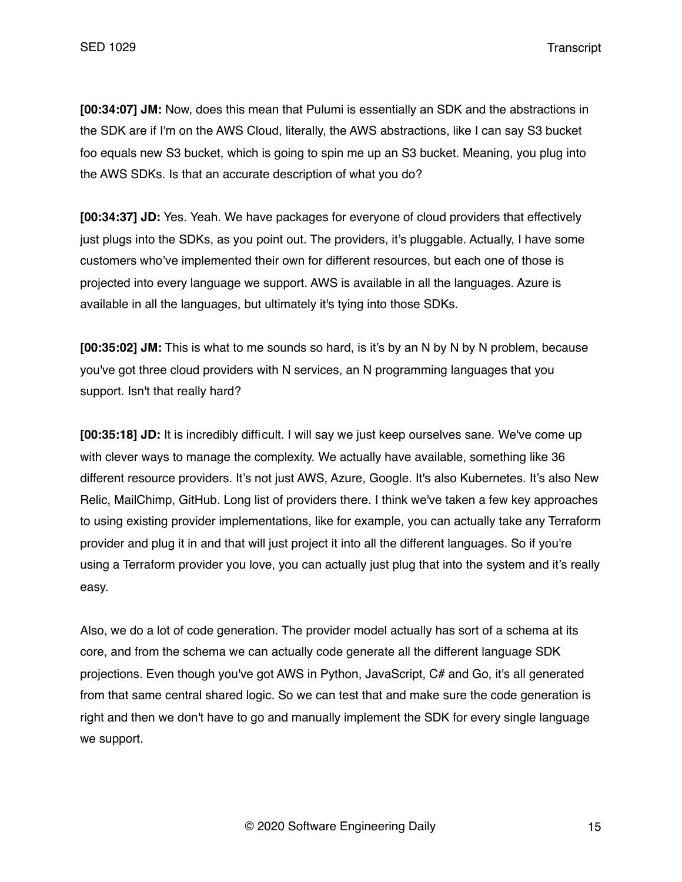**[00:34:07] JM:** Now, does this mean that Pulumi is essentially an SDK and the abstractions in the SDK are if I'm on the AWS Cloud, literally, the AWS abstractions, like I can say S3 bucket foo equals new S3 bucket, which is going to spin me up an S3 bucket. Meaning, you plug into the AWS SDKs. Is that an accurate description of what you do?

**[00:34:37] JD:** Yes. Yeah. We have packages for everyone of cloud providers that effectively just plugs into the SDKs, as you point out. The providers, it's pluggable. Actually, I have some customers who've implemented their own for different resources, but each one of those is projected into every language we support. AWS is available in all the languages. Azure is available in all the languages, but ultimately it's tying into those SDKs.

**[00:35:02] JM:** This is what to me sounds so hard, is it's by an N by N by N problem, because you've got three cloud providers with N services, an N programming languages that you support. Isn't that really hard?

**[00:35:18] JD:** It is incredibly difficult. I will say we just keep ourselves sane. We've come up with clever ways to manage the complexity. We actually have available, something like 36 different resource providers. It's not just AWS, Azure, Google. It's also Kubernetes. It's also New Relic, MailChimp, GitHub. Long list of providers there. I think we've taken a few key approaches to using existing provider implementations, like for example, you can actually take any Terraform provider and plug it in and that will just project it into all the different languages. So if you're using a Terraform provider you love, you can actually just plug that into the system and it's really easy.

Also, we do a lot of code generation. The provider model actually has sort of a schema at its core, and from the schema we can actually code generate all the different language SDK projections. Even though you've got AWS in Python, JavaScript, C# and Go, it's all generated from that same central shared logic. So we can test that and make sure the code generation is right and then we don't have to go and manually implement the SDK for every single language we support.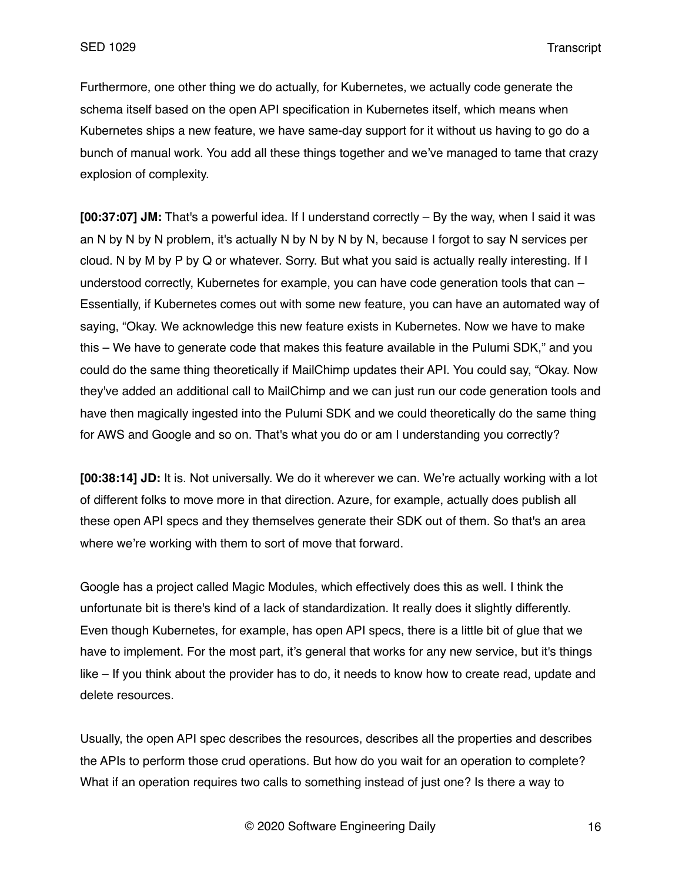Furthermore, one other thing we do actually, for Kubernetes, we actually code generate the schema itself based on the open API specification in Kubernetes itself, which means when Kubernetes ships a new feature, we have same-day support for it without us having to go do a bunch of manual work. You add all these things together and we've managed to tame that crazy explosion of complexity.

**[00:37:07] JM:** That's a powerful idea. If I understand correctly – By the way, when I said it was an N by N by N problem, it's actually N by N by N by N, because I forgot to say N services per cloud. N by M by P by Q or whatever. Sorry. But what you said is actually really interesting. If I understood correctly, Kubernetes for example, you can have code generation tools that can – Essentially, if Kubernetes comes out with some new feature, you can have an automated way of saying, "Okay. We acknowledge this new feature exists in Kubernetes. Now we have to make this – We have to generate code that makes this feature available in the Pulumi SDK," and you could do the same thing theoretically if MailChimp updates their API. You could say, "Okay. Now they've added an additional call to MailChimp and we can just run our code generation tools and have then magically ingested into the Pulumi SDK and we could theoretically do the same thing for AWS and Google and so on. That's what you do or am I understanding you correctly?

**[00:38:14] JD:** It is. Not universally. We do it wherever we can. We're actually working with a lot of different folks to move more in that direction. Azure, for example, actually does publish all these open API specs and they themselves generate their SDK out of them. So that's an area where we're working with them to sort of move that forward.

Google has a project called Magic Modules, which effectively does this as well. I think the unfortunate bit is there's kind of a lack of standardization. It really does it slightly differently. Even though Kubernetes, for example, has open API specs, there is a little bit of glue that we have to implement. For the most part, it's general that works for any new service, but it's things like – If you think about the provider has to do, it needs to know how to create read, update and delete resources.

Usually, the open API spec describes the resources, describes all the properties and describes the APIs to perform those crud operations. But how do you wait for an operation to complete? What if an operation requires two calls to something instead of just one? Is there a way to

© 2020 Software Engineering Daily 16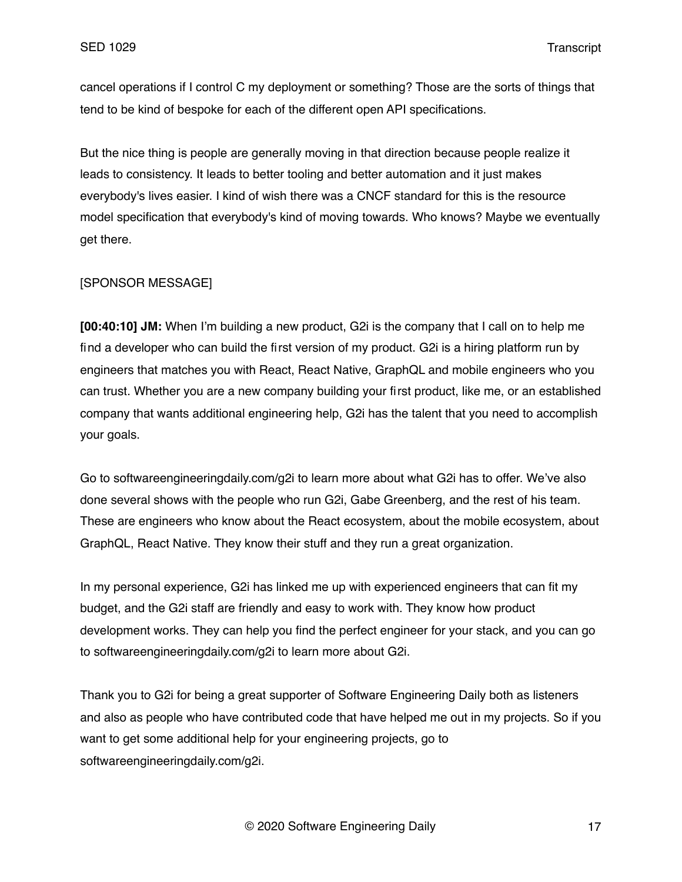cancel operations if I control C my deployment or something? Those are the sorts of things that tend to be kind of bespoke for each of the different open API specifications.

But the nice thing is people are generally moving in that direction because people realize it leads to consistency. It leads to better tooling and better automation and it just makes everybody's lives easier. I kind of wish there was a CNCF standard for this is the resource model specification that everybody's kind of moving towards. Who knows? Maybe we eventually get there.

### [SPONSOR MESSAGE]

**[00:40:10] JM:** When I'm building a new product, G2i is the company that I call on to help me find a developer who can build the first version of my product. G2i is a hiring platform run by engineers that matches you with React, React Native, GraphQL and mobile engineers who you can trust. Whether you are a new company building your first product, like me, or an established company that wants additional engineering help, G2i has the talent that you need to accomplish your goals.

Go to softwareengineeringdaily.com/g2i to learn more about what G2i has to offer. We've also done several shows with the people who run G2i, Gabe Greenberg, and the rest of his team. These are engineers who know about the React ecosystem, about the mobile ecosystem, about GraphQL, React Native. They know their stuff and they run a great organization.

In my personal experience, G2i has linked me up with experienced engineers that can fit my budget, and the G2i staff are friendly and easy to work with. They know how product development works. They can help you find the perfect engineer for your stack, and you can go to softwareengineeringdaily.com/g2i to learn more about G2i.

Thank you to G2i for being a great supporter of Software Engineering Daily both as listeners and also as people who have contributed code that have helped me out in my projects. So if you want to get some additional help for your engineering projects, go to softwareengineeringdaily.com/g2i.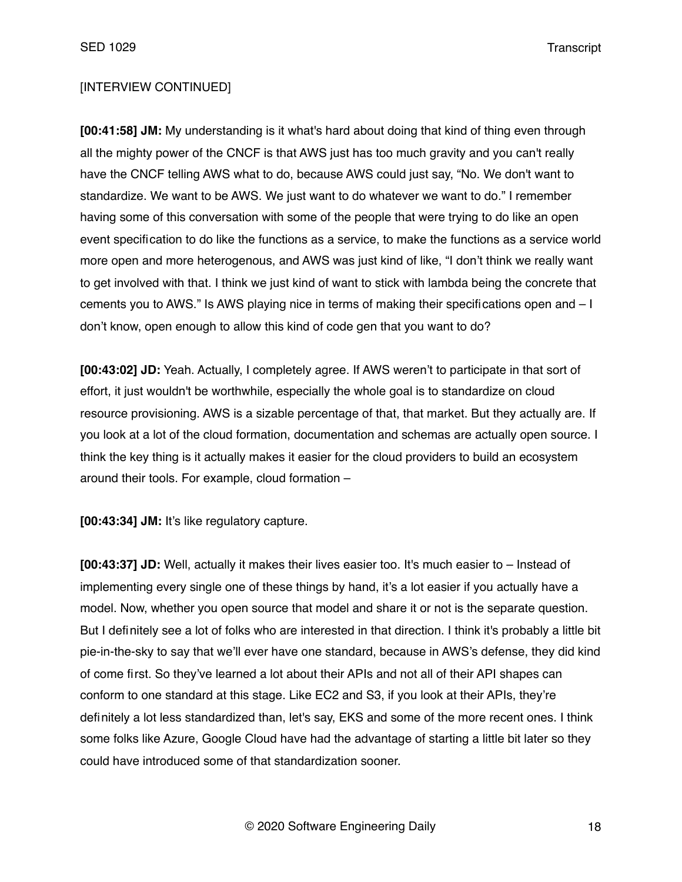## [INTERVIEW CONTINUED]

**[00:41:58] JM:** My understanding is it what's hard about doing that kind of thing even through all the mighty power of the CNCF is that AWS just has too much gravity and you can't really have the CNCF telling AWS what to do, because AWS could just say, "No. We don't want to standardize. We want to be AWS. We just want to do whatever we want to do." I remember having some of this conversation with some of the people that were trying to do like an open event specification to do like the functions as a service, to make the functions as a service world more open and more heterogenous, and AWS was just kind of like, "I don't think we really want to get involved with that. I think we just kind of want to stick with lambda being the concrete that cements you to AWS." Is AWS playing nice in terms of making their specifications open and – I don't know, open enough to allow this kind of code gen that you want to do?

**[00:43:02] JD:** Yeah. Actually, I completely agree. If AWS weren't to participate in that sort of effort, it just wouldn't be worthwhile, especially the whole goal is to standardize on cloud resource provisioning. AWS is a sizable percentage of that, that market. But they actually are. If you look at a lot of the cloud formation, documentation and schemas are actually open source. I think the key thing is it actually makes it easier for the cloud providers to build an ecosystem around their tools. For example, cloud formation –

**[00:43:34] JM:** It's like regulatory capture.

**[00:43:37] JD:** Well, actually it makes their lives easier too. It's much easier to – Instead of implementing every single one of these things by hand, it's a lot easier if you actually have a model. Now, whether you open source that model and share it or not is the separate question. But I definitely see a lot of folks who are interested in that direction. I think it's probably a little bit pie-in-the-sky to say that we'll ever have one standard, because in AWS's defense, they did kind of come first. So they've learned a lot about their APIs and not all of their API shapes can conform to one standard at this stage. Like EC2 and S3, if you look at their APIs, they're definitely a lot less standardized than, let's say, EKS and some of the more recent ones. I think some folks like Azure, Google Cloud have had the advantage of starting a little bit later so they could have introduced some of that standardization sooner.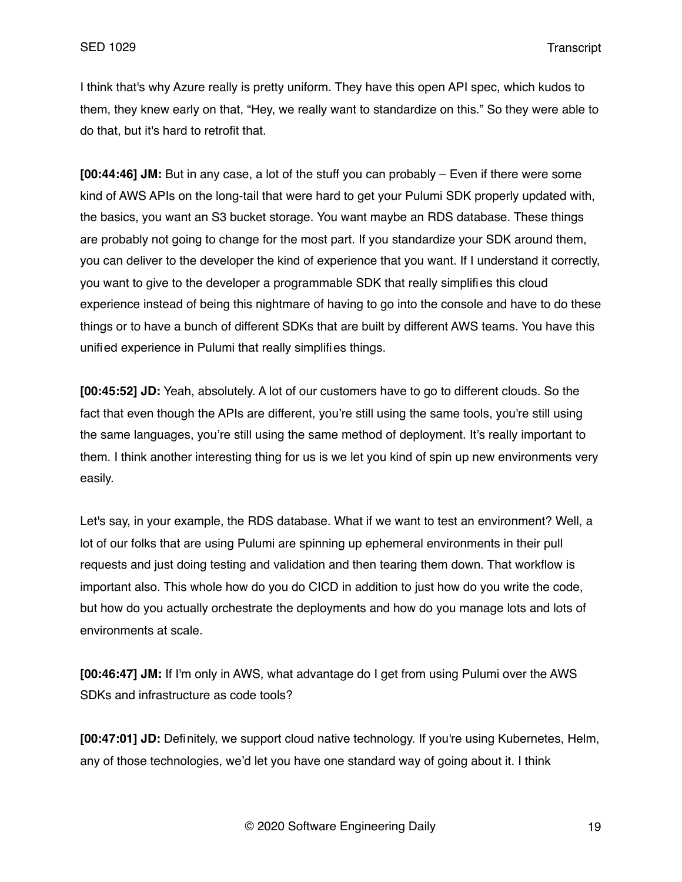I think that's why Azure really is pretty uniform. They have this open API spec, which kudos to them, they knew early on that, "Hey, we really want to standardize on this." So they were able to do that, but it's hard to retrofit that.

**[00:44:46] JM:** But in any case, a lot of the stuff you can probably – Even if there were some kind of AWS APIs on the long-tail that were hard to get your Pulumi SDK properly updated with, the basics, you want an S3 bucket storage. You want maybe an RDS database. These things are probably not going to change for the most part. If you standardize your SDK around them, you can deliver to the developer the kind of experience that you want. If I understand it correctly, you want to give to the developer a programmable SDK that really simplifies this cloud experience instead of being this nightmare of having to go into the console and have to do these things or to have a bunch of different SDKs that are built by different AWS teams. You have this unified experience in Pulumi that really simplifies things.

**[00:45:52] JD:** Yeah, absolutely. A lot of our customers have to go to different clouds. So the fact that even though the APIs are different, you're still using the same tools, you're still using the same languages, you're still using the same method of deployment. It's really important to them. I think another interesting thing for us is we let you kind of spin up new environments very easily.

Let's say, in your example, the RDS database. What if we want to test an environment? Well, a lot of our folks that are using Pulumi are spinning up ephemeral environments in their pull requests and just doing testing and validation and then tearing them down. That workflow is important also. This whole how do you do CICD in addition to just how do you write the code, but how do you actually orchestrate the deployments and how do you manage lots and lots of environments at scale.

**[00:46:47] JM:** If I'm only in AWS, what advantage do I get from using Pulumi over the AWS SDKs and infrastructure as code tools?

**[00:47:01] JD:** Definitely, we support cloud native technology. If you're using Kubernetes, Helm, any of those technologies, we'd let you have one standard way of going about it. I think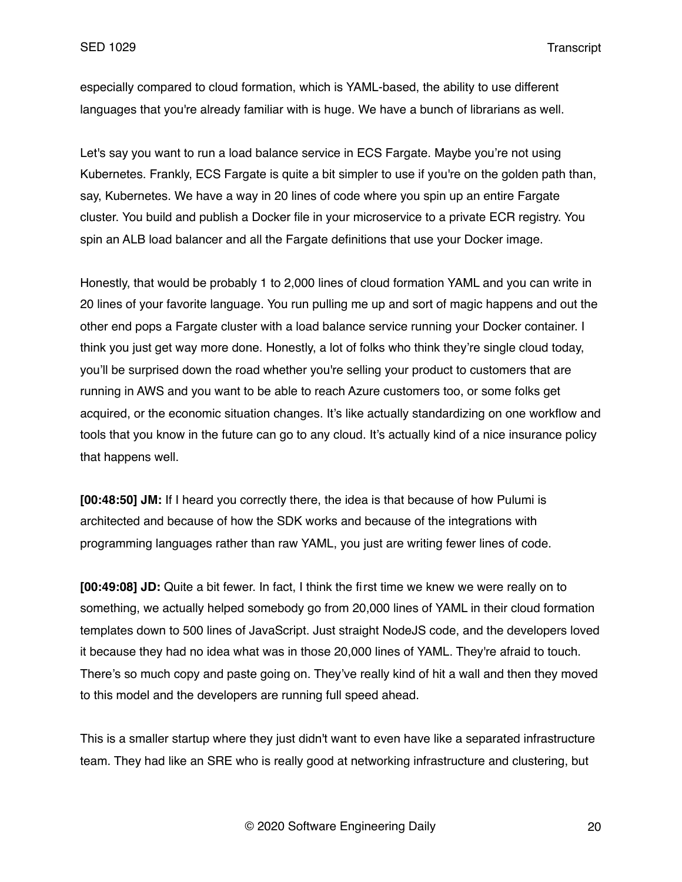especially compared to cloud formation, which is YAML-based, the ability to use different languages that you're already familiar with is huge. We have a bunch of librarians as well.

Let's say you want to run a load balance service in ECS Fargate. Maybe you're not using Kubernetes. Frankly, ECS Fargate is quite a bit simpler to use if you're on the golden path than, say, Kubernetes. We have a way in 20 lines of code where you spin up an entire Fargate cluster. You build and publish a Docker file in your microservice to a private ECR registry. You spin an ALB load balancer and all the Fargate definitions that use your Docker image.

Honestly, that would be probably 1 to 2,000 lines of cloud formation YAML and you can write in 20 lines of your favorite language. You run pulling me up and sort of magic happens and out the other end pops a Fargate cluster with a load balance service running your Docker container. I think you just get way more done. Honestly, a lot of folks who think they're single cloud today, you'll be surprised down the road whether you're selling your product to customers that are running in AWS and you want to be able to reach Azure customers too, or some folks get acquired, or the economic situation changes. It's like actually standardizing on one workflow and tools that you know in the future can go to any cloud. It's actually kind of a nice insurance policy that happens well.

**[00:48:50] JM:** If I heard you correctly there, the idea is that because of how Pulumi is architected and because of how the SDK works and because of the integrations with programming languages rather than raw YAML, you just are writing fewer lines of code.

**[00:49:08] JD:** Quite a bit fewer. In fact, I think the first time we knew we were really on to something, we actually helped somebody go from 20,000 lines of YAML in their cloud formation templates down to 500 lines of JavaScript. Just straight NodeJS code, and the developers loved it because they had no idea what was in those 20,000 lines of YAML. They're afraid to touch. There's so much copy and paste going on. They've really kind of hit a wall and then they moved to this model and the developers are running full speed ahead.

This is a smaller startup where they just didn't want to even have like a separated infrastructure team. They had like an SRE who is really good at networking infrastructure and clustering, but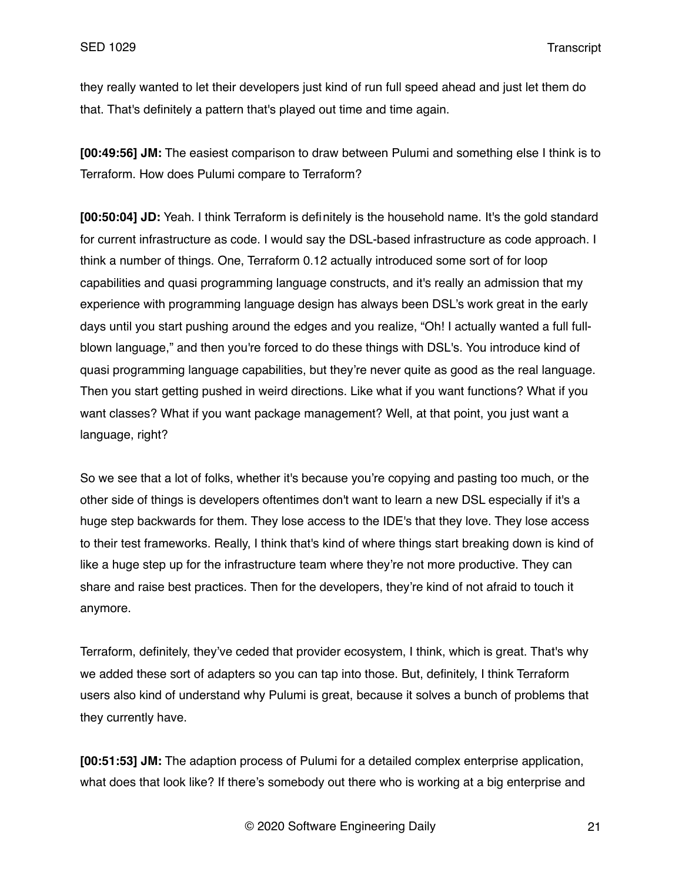they really wanted to let their developers just kind of run full speed ahead and just let them do that. That's definitely a pattern that's played out time and time again.

**[00:49:56] JM:** The easiest comparison to draw between Pulumi and something else I think is to Terraform. How does Pulumi compare to Terraform?

**[00:50:04] JD:** Yeah. I think Terraform is definitely is the household name. It's the gold standard for current infrastructure as code. I would say the DSL-based infrastructure as code approach. I think a number of things. One, Terraform 0.12 actually introduced some sort of for loop capabilities and quasi programming language constructs, and it's really an admission that my experience with programming language design has always been DSL's work great in the early days until you start pushing around the edges and you realize, "Oh! I actually wanted a full fullblown language," and then you're forced to do these things with DSL's. You introduce kind of quasi programming language capabilities, but they're never quite as good as the real language. Then you start getting pushed in weird directions. Like what if you want functions? What if you want classes? What if you want package management? Well, at that point, you just want a language, right?

So we see that a lot of folks, whether it's because you're copying and pasting too much, or the other side of things is developers oftentimes don't want to learn a new DSL especially if it's a huge step backwards for them. They lose access to the IDE's that they love. They lose access to their test frameworks. Really, I think that's kind of where things start breaking down is kind of like a huge step up for the infrastructure team where they're not more productive. They can share and raise best practices. Then for the developers, they're kind of not afraid to touch it anymore.

Terraform, definitely, they've ceded that provider ecosystem, I think, which is great. That's why we added these sort of adapters so you can tap into those. But, definitely, I think Terraform users also kind of understand why Pulumi is great, because it solves a bunch of problems that they currently have.

**[00:51:53] JM:** The adaption process of Pulumi for a detailed complex enterprise application, what does that look like? If there's somebody out there who is working at a big enterprise and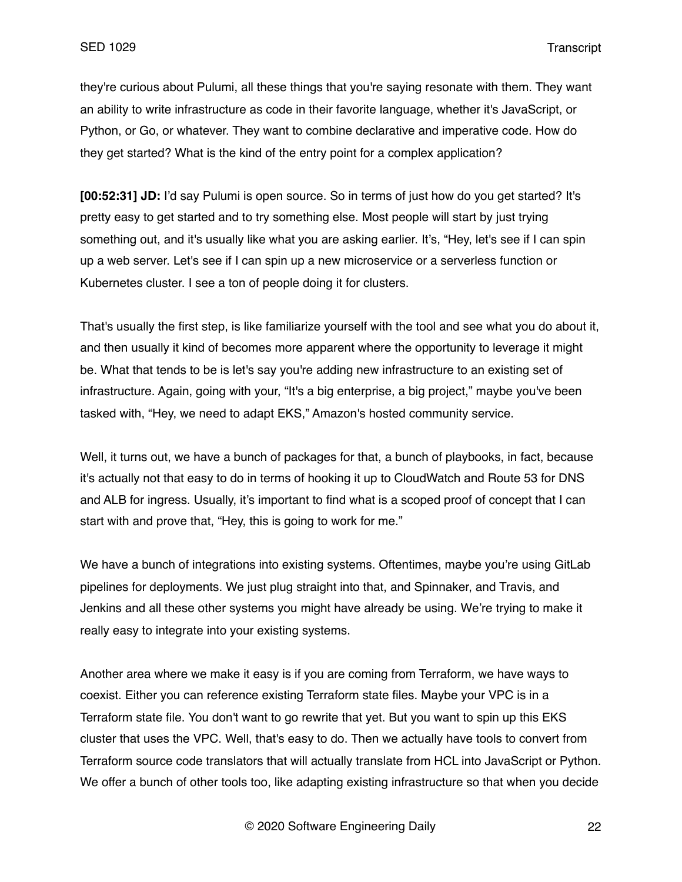they're curious about Pulumi, all these things that you're saying resonate with them. They want an ability to write infrastructure as code in their favorite language, whether it's JavaScript, or Python, or Go, or whatever. They want to combine declarative and imperative code. How do they get started? What is the kind of the entry point for a complex application?

**[00:52:31] JD:** I'd say Pulumi is open source. So in terms of just how do you get started? It's pretty easy to get started and to try something else. Most people will start by just trying something out, and it's usually like what you are asking earlier. It's, "Hey, let's see if I can spin up a web server. Let's see if I can spin up a new microservice or a serverless function or Kubernetes cluster. I see a ton of people doing it for clusters.

That's usually the first step, is like familiarize yourself with the tool and see what you do about it, and then usually it kind of becomes more apparent where the opportunity to leverage it might be. What that tends to be is let's say you're adding new infrastructure to an existing set of infrastructure. Again, going with your, "It's a big enterprise, a big project," maybe you've been tasked with, "Hey, we need to adapt EKS," Amazon's hosted community service.

Well, it turns out, we have a bunch of packages for that, a bunch of playbooks, in fact, because it's actually not that easy to do in terms of hooking it up to CloudWatch and Route 53 for DNS and ALB for ingress. Usually, it's important to find what is a scoped proof of concept that I can start with and prove that, "Hey, this is going to work for me."

We have a bunch of integrations into existing systems. Oftentimes, maybe you're using GitLab pipelines for deployments. We just plug straight into that, and Spinnaker, and Travis, and Jenkins and all these other systems you might have already be using. We're trying to make it really easy to integrate into your existing systems.

Another area where we make it easy is if you are coming from Terraform, we have ways to coexist. Either you can reference existing Terraform state files. Maybe your VPC is in a Terraform state file. You don't want to go rewrite that yet. But you want to spin up this EKS cluster that uses the VPC. Well, that's easy to do. Then we actually have tools to convert from Terraform source code translators that will actually translate from HCL into JavaScript or Python. We offer a bunch of other tools too, like adapting existing infrastructure so that when you decide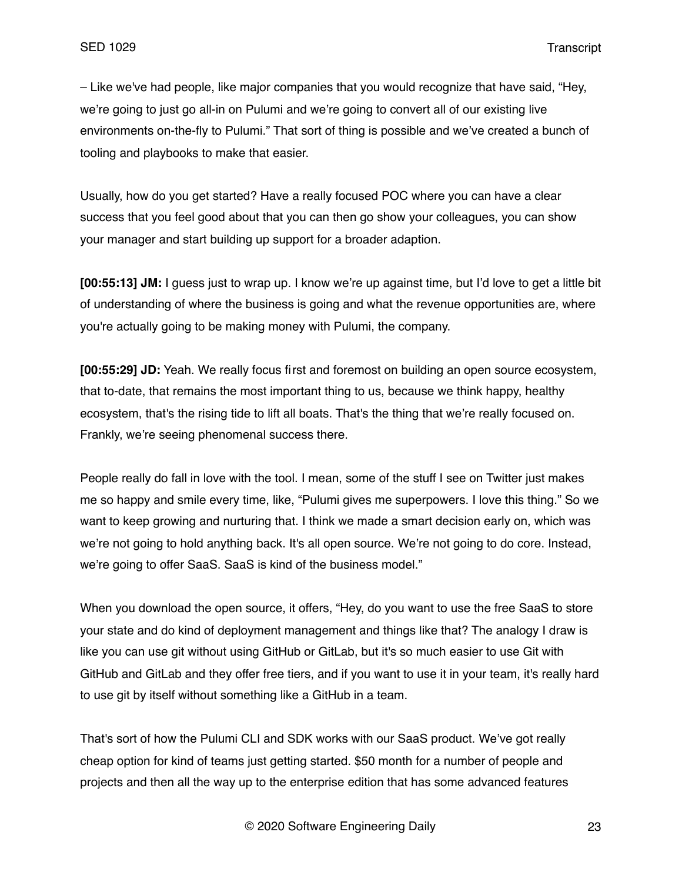– Like we've had people, like major companies that you would recognize that have said, "Hey, we're going to just go all-in on Pulumi and we're going to convert all of our existing live environments on-the-fly to Pulumi." That sort of thing is possible and we've created a bunch of tooling and playbooks to make that easier.

Usually, how do you get started? Have a really focused POC where you can have a clear success that you feel good about that you can then go show your colleagues, you can show your manager and start building up support for a broader adaption.

**[00:55:13] JM:** I guess just to wrap up. I know we're up against time, but I'd love to get a little bit of understanding of where the business is going and what the revenue opportunities are, where you're actually going to be making money with Pulumi, the company.

**[00:55:29] JD:** Yeah. We really focus first and foremost on building an open source ecosystem, that to-date, that remains the most important thing to us, because we think happy, healthy ecosystem, that's the rising tide to lift all boats. That's the thing that we're really focused on. Frankly, we're seeing phenomenal success there.

People really do fall in love with the tool. I mean, some of the stuff I see on Twitter just makes me so happy and smile every time, like, "Pulumi gives me superpowers. I love this thing." So we want to keep growing and nurturing that. I think we made a smart decision early on, which was we're not going to hold anything back. It's all open source. We're not going to do core. Instead, we're going to offer SaaS. SaaS is kind of the business model."

When you download the open source, it offers, "Hey, do you want to use the free SaaS to store your state and do kind of deployment management and things like that? The analogy I draw is like you can use git without using GitHub or GitLab, but it's so much easier to use Git with GitHub and GitLab and they offer free tiers, and if you want to use it in your team, it's really hard to use git by itself without something like a GitHub in a team.

That's sort of how the Pulumi CLI and SDK works with our SaaS product. We've got really cheap option for kind of teams just getting started. \$50 month for a number of people and projects and then all the way up to the enterprise edition that has some advanced features